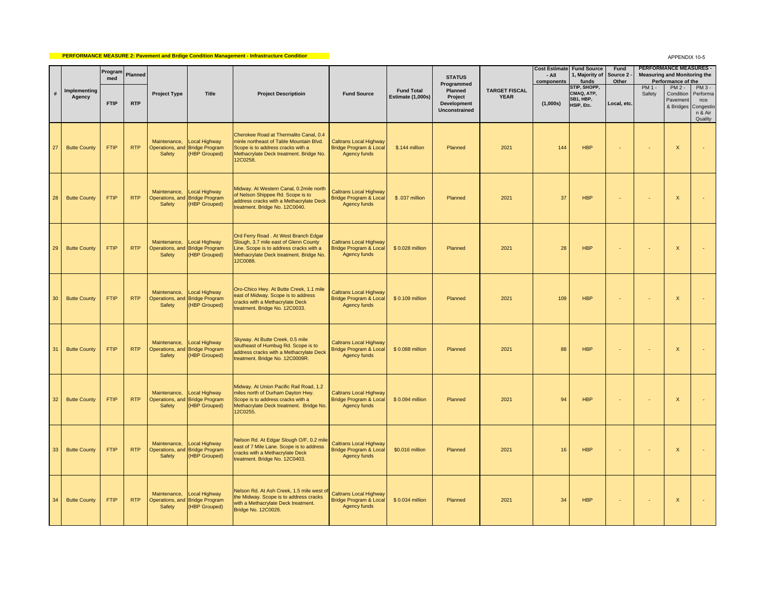## **PERFORMANCE MEASURE 2: Pavement and Brdige Condition Management - Infrastructure Condition**

APPENDIX 10-5

|                 |                        | Program<br>med | Planned    |                        |                                                                  |                                                                                                                                                                                  |                                                                                           |                                               | <b>STATUS</b><br>Programmed                        |                                     | - All<br>components | <b>Cost Estimate Fund Source</b><br>1, Majority of<br>funds | Fund<br>Source 2<br>Other |                   | <b>PERFORMANCE MEASURES -</b><br><b>Measuring and Monitoring the</b><br>Performance of the |                                                                         |
|-----------------|------------------------|----------------|------------|------------------------|------------------------------------------------------------------|----------------------------------------------------------------------------------------------------------------------------------------------------------------------------------|-------------------------------------------------------------------------------------------|-----------------------------------------------|----------------------------------------------------|-------------------------------------|---------------------|-------------------------------------------------------------|---------------------------|-------------------|--------------------------------------------------------------------------------------------|-------------------------------------------------------------------------|
| #               | Implementing<br>Agency | <b>FTIP</b>    | <b>RTP</b> | <b>Project Type</b>    | <b>Title</b>                                                     | <b>Project Descriptioin</b>                                                                                                                                                      | <b>Fund Source</b>                                                                        | <b>Fund Total</b><br><b>Estimate (1,000s)</b> | Planned<br>Project<br>Development<br>Unconstrained | <b>TARGET FISCAL</b><br><b>YEAR</b> | (1,000s)            | STIP, SHOPP,<br>CMAQ, ATP,<br>SB1, HBP,<br>HSIP, Etc.       | Local, etc.               | $PM1 -$<br>Safety | $PM2 -$<br>Condition<br>Pavement                                                           | $PM3 -$<br>Performa<br>nce<br>& Bridges Congestio<br>n & Air<br>Quality |
| 27              | <b>Butte County</b>    | FTIP           | <b>RTP</b> | Maintenance,<br>Safety | Local Highway<br>Operations, and Bridge Program<br>(HBP Grouped) | Cherokee Road at Thermalito Canal, 0.4<br>minle northeast of Table Mountain Blvd.<br>Scope is to address cracks with a<br>Methacrylate Deck treatment. Bridge No.<br>12C0258.    | <b>Caltrans Local Highway</b><br><b>Bridge Program &amp; Local</b><br>Agency funds        | \$.144 million                                | Planned                                            | 2021                                | 144                 | <b>HBP</b>                                                  |                           |                   | X                                                                                          |                                                                         |
| 28              | <b>Butte County</b>    | <b>FTIP</b>    | <b>RTP</b> | Maintenance,<br>Safety | Local Highway<br>Operations, and Bridge Program<br>(HBP Grouped) | Midway. At Western Canal, 0.2mile north<br>of Nelson Shippee Rd. Scope is to<br>address cracks with a Methacrylate Deck<br>treatment. Bridge No. 12C0040.                        | <b>Caltrans Local Highway</b><br><b>Bridge Program &amp; Local</b><br>Agency funds        | \$.037 million                                | Planned                                            | 2021                                | 37                  | <b>HBP</b>                                                  |                           |                   | $\mathsf{x}$                                                                               |                                                                         |
| 29              | <b>Butte County</b>    | <b>FTIP</b>    | <b>RTP</b> | Maintenance,<br>Safety | Local Highway<br>Operations, and Bridge Program<br>(HBP Grouped) | Ord Ferry Road . At West Branch Edgar<br>Slough, 3.7 mile east of Glenn County<br>Line. Scope is to address cracks with a<br>Methacrylate Deck treatment. Bridge No.<br>12C0088. | <b>Caltrans Local Highway</b><br><b>Bridge Program &amp; Local</b><br>Agency funds        | \$0.028 million                               | Planned                                            | 2021                                | 28                  | <b>HBP</b>                                                  |                           |                   | $\boldsymbol{\mathsf{X}}$                                                                  |                                                                         |
| 30              | <b>Butte County</b>    | <b>FTIP</b>    | <b>RTP</b> | Maintenance,<br>Safety | Local Highway<br>Operations, and Bridge Program<br>(HBP Grouped) | Oro-Chico Hwy. At Butte Creek, 1.1 mile<br>east of Midway. Scope is to address<br>cracks with a Methacrylate Deck<br>treatment. Bridge No. 12C0033.                              | <b>Caltrans Local Highway</b><br><b>Bridge Program &amp; Local</b><br>Agency funds        | \$0.109 million                               | Planned                                            | 2021                                | 109                 | <b>HBP</b>                                                  |                           |                   | X                                                                                          |                                                                         |
| 31              | <b>Butte County</b>    | <b>FTIP</b>    | <b>RTP</b> | Maintenance,<br>Safety | Local Highway<br>Operations, and Bridge Program<br>(HBP Grouped) | Skyway. At Butte Creek, 0.5 mile<br>southeast of Humbug Rd. Scope is to<br>address cracks with a Methacrylate Deck<br>treatment. Bridge No. 12C0009R.                            | <b>Caltrans Local Highway</b><br><b>Bridge Program &amp; Local</b><br>Agency funds        | \$0.088 million                               | Planned                                            | 2021                                | 88                  | <b>HBP</b>                                                  |                           |                   | $\mathsf{x}$                                                                               |                                                                         |
| 32 <sub>2</sub> | <b>Butte County</b>    | <b>FTIP</b>    | <b>RTP</b> | Maintenance,<br>Safety | Local Highway<br>Operations, and Bridge Program<br>(HBP Grouped) | Midway. At Union Pacific Rail Road, 1.2<br>miles north of Durham Dayton Hwy.<br>Scope is to address cracks with a<br>Methacrylate Deck treatment. Bridge No.<br>12C0255.         | <b>Caltrans Local Highway</b><br><b>Bridge Program &amp; Local</b><br><b>Agency funds</b> | \$0.094 million                               | Planned                                            | 2021                                | 94                  | <b>HBP</b>                                                  |                           |                   | $\mathsf{x}$                                                                               |                                                                         |
| 33              | <b>Butte County</b>    | <b>FTIP</b>    | <b>RTP</b> | Maintenance,<br>Safety | Local Highway<br>Operations, and Bridge Program<br>(HBP Grouped) | Nelson Rd. At Edgar Slough O/F, 0.2 mile<br>east of 7 Mile Lane. Scope is to address<br>cracks with a Methacrylate Deck<br>treatment. Bridge No. 12C0403.                        | <b>Caltrans Local Highway</b><br><b>Bridge Program &amp; Local</b><br>Agency funds        | \$0.016 million                               | Planned                                            | 2021                                | 16                  | <b>HBP</b>                                                  |                           |                   | X                                                                                          |                                                                         |
| 34              | <b>Butte County</b>    | <b>FTIP</b>    | <b>RTP</b> | Maintenance,<br>Safety | Local Highway<br>Operations, and Bridge Program<br>(HBP Grouped) | Nelson Rd. At Ash Creek, 1.5 mile west of<br>the Midway. Scope is to address cracks<br>with a Methacrylate Deck treatment.<br>Bridge No. 12C0026.                                | <b>Caltrans Local Highway</b><br><b>Bridge Program &amp; Local</b><br>Agency funds        | \$0.034 million                               | Planned                                            | 2021                                | 34                  | <b>HBP</b>                                                  | ÷.                        | $\sim$            | $\mathsf X$                                                                                |                                                                         |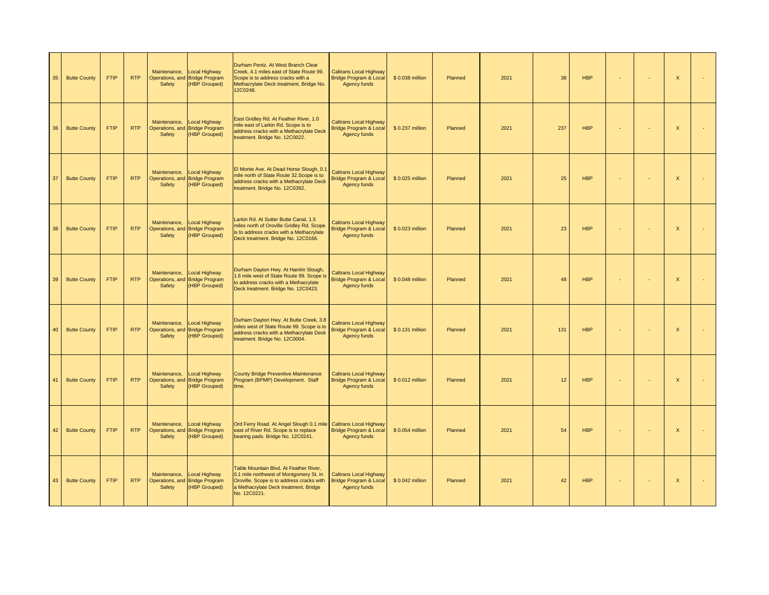| 35 | <b>Butte County</b> | <b>FTIP</b> | <b>RTP</b> | Maintenance,<br>Safety | <b>Local Highway</b><br>Operations, and Bridge Program<br>(HBP Grouped)       | Durham Pentz. At West Branch Clear<br>Creek, 4.1 miles east of State Route 99.<br>Scope is to address cracks with a<br>Methacrylate Deck treatment. Bridge No.<br>12C0248.              | <b>Caltrans Local Highway</b><br><b>Bridge Program &amp; Local</b><br>Agency funds | \$0.038 million  | Planned | 2021 | 38  | <b>HBP</b> |        | $\mathsf X$               |  |
|----|---------------------|-------------|------------|------------------------|-------------------------------------------------------------------------------|-----------------------------------------------------------------------------------------------------------------------------------------------------------------------------------------|------------------------------------------------------------------------------------|------------------|---------|------|-----|------------|--------|---------------------------|--|
| 36 | <b>Butte County</b> | <b>FTIP</b> | <b>RTP</b> | Maintenance,<br>Safety | <b>Local Highway</b><br>Operations, and Bridge Program<br>(HBP Grouped)       | East Gridley Rd. At Feather River, 1.0<br>mile east of Larkin Rd. Scope is to<br>address cracks with a Methacrylate Deck<br>treatment. Bridge No. 12C0022.                              | <b>Caltrans Local Highway</b><br><b>Bridge Program &amp; Local</b><br>Agency funds | \$0.237 million  | Planned | 2021 | 237 | <b>HBP</b> |        | $\boldsymbol{\mathsf{X}}$ |  |
| 37 | <b>Butte County</b> | <b>FTIP</b> | <b>RTP</b> | Maintenance,<br>Safety | <b>Local Highway</b><br>Operations, and Bridge Program<br>(HBP Grouped)       | El Monte Ave. At Dead Horse Slough, 0.1<br>mile north of State Route 32. Scope is to<br>address cracks with a Methacrylate Deck<br>treatment. Bridge No. 12C0392.                       | <b>Caltrans Local Highway</b><br><b>Bridge Program &amp; Local</b><br>Agency funds | \$0.025 million  | Planned | 2021 | 25  | <b>HBP</b> | $\sim$ | $\mathsf{X}$              |  |
| 38 | <b>Butte County</b> | <b>FTIP</b> | <b>RTP</b> | Maintenance,<br>Safety | <b>Local Highway</b><br>Operations, and Bridge Program<br>(HBP Grouped)       | Larkin Rd. At Sutter Butte Canal, 1.5<br>miles north of Oroville Gridley Rd. Scope<br>is to address cracks with a Methacrylate<br>Deck treatment. Bridge No. 12C0166.                   | <b>Caltrans Local Highway</b><br><b>Bridge Program &amp; Local</b><br>Agency funds | \$0.023 million  | Planned | 2021 | 23  | <b>HBP</b> | ×.     | $\mathsf X$               |  |
|    | 39 Butte County     | FTIP        | <b>RTP</b> | Maintenance,<br>Safety | Local Highway<br>Operations, and Bridge Program<br>(HBP Grouped)              | Durham Dayton Hwy. At Hamlin Slough,<br>1.6 mile west of State Route 99. Scope is<br>to address cracks with a Methacrylate<br>Deck treatment. Bridge No. 12C0423.                       | <b>Caltrans Local Highway</b><br><b>Bridge Program &amp; Local</b><br>Agency funds | \$0.048 million  | Planned | 2021 | 48  | <b>HBP</b> |        | $\mathsf X$               |  |
| 40 | <b>Butte County</b> | <b>FTIP</b> | <b>RTP</b> | Maintenance,<br>Safety | Local Highway<br>Operations, and Bridge Program<br>(HBP Grouped)              | Durham Dayton Hwy. At Butte Creek, 3.8<br>miles west of State Route 99. Scope is to<br>address cracks with a Methacrylate Deck<br>treatment. Bridge No. 12C0004.                        | <b>Caltrans Local Highway</b><br><b>Bridge Program &amp; Local</b><br>Agency funds | \$ 0.131 million | Planned | 2021 | 131 | <b>HBP</b> |        | $\mathsf{x}$              |  |
| 41 | <b>Butte County</b> | <b>FTIP</b> | <b>RTP</b> | Maintenance,<br>Safety | Local Highway<br>Operations, and Bridge Program<br>(HBP Grouped)              | <b>County Bridge Preventive Maintenance</b><br>Program (BPMP) Development. Staff<br>time.                                                                                               | <b>Caltrans Local Highway</b><br><b>Bridge Program &amp; Local</b><br>Agency funds | \$0.012 million  | Planned | 2021 | 12  | <b>HBP</b> |        | $\mathsf X$               |  |
| 42 | <b>Butte County</b> | <b>FTIP</b> | <b>RTP</b> | Maintenance,<br>Safety | Local Highway<br>Operations, and Bridge Program<br>(HBP Grouped)              | Ord Ferry Road. At Angel Slough 0.1 mile<br>east of River Rd. Scope is to replace<br>bearing pads. Bridge No. 12C0241.                                                                  | <b>Caltrans Local Highway</b><br><b>Bridge Program &amp; Local</b><br>Agency funds | \$0.054 million  | Planned | 2021 | 54  | <b>HBP</b> |        | $\mathsf X$               |  |
|    | 43 Butte County     | <b>FTIP</b> | <b>RTP</b> | Safety                 | Maintenance, Local Highway<br>Operations, and Bridge Program<br>(HBP Grouped) | Table Mountain Blvd. At Feather River,<br>0.1 mile northwest of Montgomery St. in<br>Oroville. Scope is to address cracks with<br>a Methacrylate Deck treatment. Bridge<br>No. 12C0221. | <b>Caltrans Local Highway</b><br><b>Bridge Program &amp; Local</b><br>Agency funds | \$0.042 million  | Planned | 2021 | 42  | <b>HBP</b> |        | $\mathsf{x}$              |  |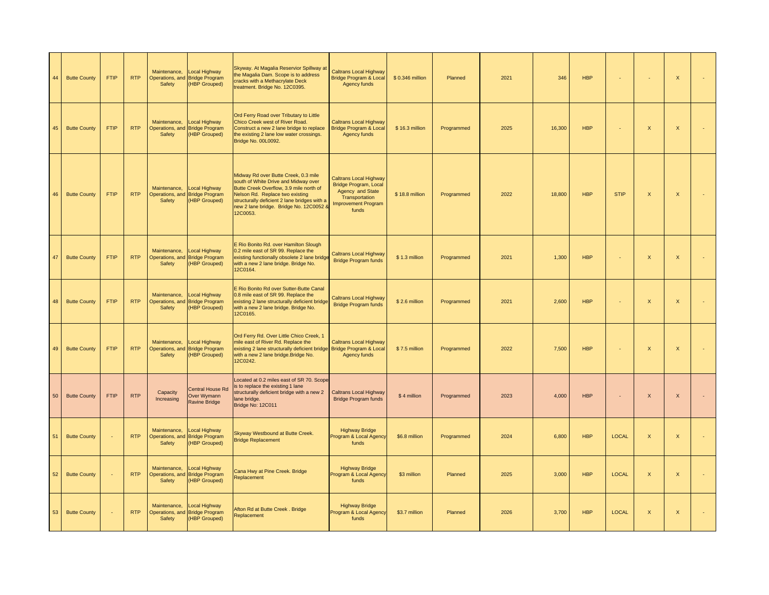| 44 | <b>Butte County</b> | <b>FTIP</b>    | <b>RTP</b> | Maintenance,<br>Safety        | Local Highway<br>Operations, and Bridge Program<br><b>HBP Grouped)</b>        | Skyway. At Magalia Reservior Spillway at<br>the Magalia Dam. Scope is to address<br>cracks with a Methacrylate Deck<br>treatment. Bridge No. 12C0395.                                                                                                             | <b>Caltrans Local Highway</b><br>Bridge Program & Local<br>Agency funds                                                             | \$0.346 million | Planned    | 2021 | 346    | <b>HBP</b> |              | ×,                        | X            |  |
|----|---------------------|----------------|------------|-------------------------------|-------------------------------------------------------------------------------|-------------------------------------------------------------------------------------------------------------------------------------------------------------------------------------------------------------------------------------------------------------------|-------------------------------------------------------------------------------------------------------------------------------------|-----------------|------------|------|--------|------------|--------------|---------------------------|--------------|--|
| 45 | <b>Butte County</b> | <b>FTIP</b>    | <b>RTP</b> | Maintenance,<br>Safety        | <b>Local Highway</b><br>Operations, and Bridge Program<br><b>HBP Grouped)</b> | Ord Ferry Road over Tributary to Little<br>Chico Creek west of River Road.<br>Construct a new 2 lane bridge to replace<br>the existing 2 lane low water crossings.<br>Bridge No. 00L0092.                                                                         | <b>Caltrans Local Highway</b><br>Bridge Program & Local<br>Agency funds                                                             | \$16.3 million  | Programmed | 2025 | 16,300 | <b>HBP</b> | ÷,           | $\boldsymbol{\mathsf{X}}$ | X            |  |
| 46 | <b>Butte County</b> | <b>FTIP</b>    | <b>RTP</b> | Maintenance,<br>Safety        | <b>Local Highway</b><br>Operations, and Bridge Program<br>(HBP Grouped)       | Midway Rd over Butte Creek, 0.3 mile<br>south of White Drive and Midway over<br>Butte Creek Overflow, 3.9 mile north of<br>Nelson Rd. Replace two existing<br>structurally deficient 2 lane bridges with a<br>new 2 lane bridge. Bridge No. 12C0052 &<br>12C0053. | Caltrans Local Highway<br><b>Bridge Program, Local</b><br>Agency and State<br>Transportation<br><b>Improvement Program</b><br>funds | \$18.8 million  | Programmed | 2022 | 18,800 | <b>HBP</b> | <b>STIP</b>  | $\boldsymbol{\mathsf{X}}$ | $\mathsf X$  |  |
| 47 | <b>Butte County</b> | <b>FTIP</b>    | <b>RTP</b> | Maintenance,<br>Safety        | <b>Local Highway</b><br>Operations, and Bridge Program<br>(HBP Grouped)       | E Rio Bonito Rd. over Hamilton Slough<br>0.2 mile east of SR 99. Replace the<br>existing functionally obsolete 2 lane bridge<br>with a new 2 lane bridge. Bridge No.<br>12C0164.                                                                                  | <b>Caltrans Local Highway</b><br><b>Bridge Program funds</b>                                                                        | \$1.3 million   | Programmed | 2021 | 1,300  | <b>HBP</b> |              | $\mathsf X$               | $\mathsf X$  |  |
| 48 | <b>Butte County</b> | <b>FTIP</b>    | <b>RTP</b> | Maintenance,<br>Safety        | <b>Local Highway</b><br>Operations, and Bridge Program<br>(HBP Grouped)       | E Rio Bonito Rd over Sutter-Butte Canal<br>0.8 mile east of SR 99. Replace the<br>existing 2 lane structurally deficient bridge<br>with a new 2 lane bridge. Bridge No.<br>12C0165.                                                                               | <b>Caltrans Local Highway</b><br><b>Bridge Program funds</b>                                                                        | \$2.6 million   | Programmed | 2021 | 2,600  | <b>HBP</b> |              | $\mathsf{X}$              | $\mathsf X$  |  |
| 49 | <b>Butte County</b> | <b>FTIP</b>    | <b>RTP</b> | Maintenance,<br>Safety        | Local Highway<br>Operations, and Bridge Program<br>(HBP Grouped)              | Ord Ferry Rd. Over Little Chico Creek, 1<br>mile east of River Rd. Replace the<br>existing 2 lane structurally deficient bridge Bridge Program & Local<br>with a new 2 lane bridge. Bridge No.<br>12C0242.                                                        | <b>Caltrans Local Highway</b><br>Agency funds                                                                                       | \$7.5 million   | Programmed | 2022 | 7.500  | <b>HBP</b> |              | $\mathsf{X}$              | $\mathsf{x}$ |  |
| 50 | <b>Butte County</b> | <b>FTIP</b>    | <b>RTP</b> | Capacity<br>Increasing        | <b>Central House Rd</b><br>Over Wymann<br><b>Ravine Bridge</b>                | ocated at 0.2 miles east of SR 70. Scope<br>is to replace the existing 1 lane<br>structurally deficient bridge with a new 2<br>lane bridge.<br>Bridge No: 12C011                                                                                                  | Caltrans Local Highway<br><b>Bridge Program funds</b>                                                                               | \$4 million     | Programmed | 2023 | 4,000  | <b>HBP</b> |              | $\mathsf X$               | $\mathsf X$  |  |
| 51 | <b>Butte County</b> | ÷.             | <b>RTP</b> | Maintenance,<br>Safety        | Local Highway<br>Operations, and Bridge Program<br>(HBP Grouped)              | Skyway Westbound at Butte Creek.<br><b>Bridge Replacement</b>                                                                                                                                                                                                     | <b>Highway Bridge</b><br>Program & Local Agency<br>funds                                                                            | \$6.8 million   | Programmed | 2024 | 6,800  | <b>HBP</b> | <b>LOCAL</b> | $\mathsf{x}$              | $\mathsf{X}$ |  |
| 52 | <b>Butte County</b> | $\blacksquare$ | <b>RTP</b> | Maintenance,<br>Safety        | Local Highway<br>Operations, and Bridge Program<br>(HBP Grouped)              | Cana Hwy at Pine Creek. Bridge<br>Replacement                                                                                                                                                                                                                     | <b>Highway Bridge</b><br>Program & Local Agency<br>funds                                                                            | \$3 million     | Planned    | 2025 | 3,000  | <b>HBP</b> | <b>LOCAL</b> | $\boldsymbol{\mathsf{X}}$ | X            |  |
| 53 | <b>Butte County</b> | ä,             | <b>RTP</b> | Maintenance,<br><b>Safety</b> | Local Highway<br>Operations, and Bridge Program<br>(HBP Grouped)              | Afton Rd at Butte Creek. Bridge<br>Replacement                                                                                                                                                                                                                    | <b>Highway Bridge</b><br>Program & Local Agency<br>funds                                                                            | \$3.7 million   | Planned    | 2026 | 3,700  | <b>HBP</b> | <b>LOCAL</b> | $\boldsymbol{\mathsf{X}}$ | $\mathsf X$  |  |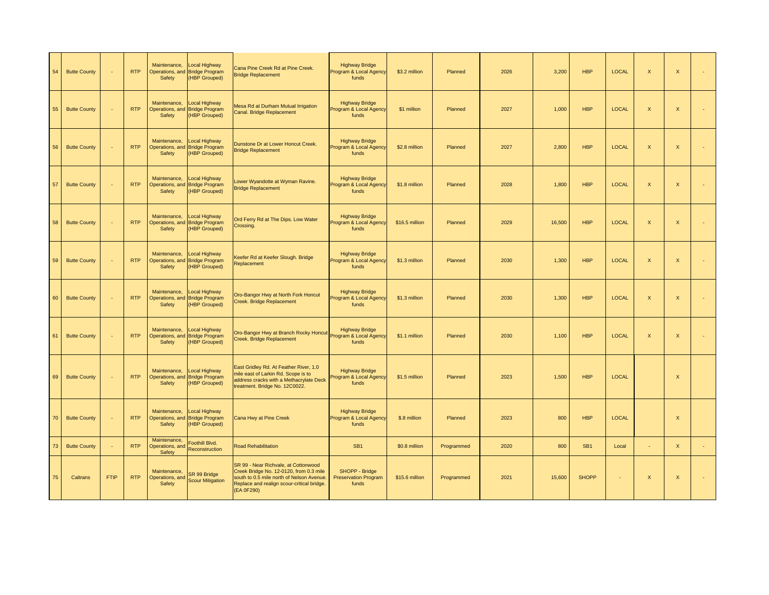| 54 | <b>Butte County</b> | $\sim$      | <b>RTP</b> | Maintenance,<br>Safety                    | <b>Local Highway</b><br>Operations, and Bridge Program<br>(HBP Grouped) | Cana Pine Creek Rd at Pine Creek.<br><b>Bridge Replacement</b>                                                                                                                           | <b>Highway Bridge</b><br>Program & Local Agency<br>funds | \$3.2 million  | Planned    | 2026 | 3,200  | <b>HBP</b>      | <b>LOCAL</b> | $\mathsf{X}$   | $\mathsf X$               |        |
|----|---------------------|-------------|------------|-------------------------------------------|-------------------------------------------------------------------------|------------------------------------------------------------------------------------------------------------------------------------------------------------------------------------------|----------------------------------------------------------|----------------|------------|------|--------|-----------------|--------------|----------------|---------------------------|--------|
| 55 | <b>Butte County</b> | ÷.          | <b>RTP</b> | Maintenance,<br>Safety                    | Local Highway<br>Operations, and Bridge Program<br>(HBP Grouped)        | Mesa Rd at Durham Mutual Irrigation<br>Canal. Bridge Replacement                                                                                                                         | <b>Highway Bridge</b><br>Program & Local Agency<br>funds | \$1 million    | Planned    | 2027 | 1,000  | <b>HBP</b>      | <b>LOCAL</b> | $\mathsf{X}$   | $\mathsf X$               | ÷,     |
| 56 | <b>Butte County</b> | ÷.          | <b>RTP</b> | Maintenance,<br>Safety                    | <b>Local Highway</b><br>Operations, and Bridge Program<br>(HBP Grouped) | Dunstone Dr at Lower Honcut Creek.<br><b>Bridge Replacement</b>                                                                                                                          | <b>Highway Bridge</b><br>Program & Local Agency<br>funds | \$2.8 million  | Planned    | 2027 | 2,800  | <b>HBP</b>      | LOCAL        | $\mathsf X$    | $\mathsf X$               | ä,     |
| 57 | <b>Butte County</b> |             | <b>RTP</b> | Maintenance,<br>Safety                    | <b>Local Highway</b><br>Operations, and Bridge Program<br>(HBP Grouped) | Lower Wyandotte at Wyman Ravine.<br><b>Bridge Replacement</b>                                                                                                                            | <b>Highway Bridge</b><br>Program & Local Agency<br>funds | \$1.8 million  | Planned    | 2028 | 1,800  | <b>HBP</b>      | LOCAL        | $\mathsf{X}$   | $\boldsymbol{\mathsf{X}}$ | ÷      |
| 58 | <b>Butte County</b> | $\sim$      | <b>RTP</b> | Maintenance,<br>Safety                    | <b>Local Highway</b><br>Operations, and Bridge Program<br>(HBP Grouped) | Ord Ferry Rd at The Dips. Low Water<br>Crossing.                                                                                                                                         | <b>Highway Bridge</b><br>Program & Local Agency<br>funds | \$16.5 million | Planned    | 2029 | 16,500 | <b>HBP</b>      | <b>LOCAL</b> | $\mathsf X$    | $\mathsf X$               | ÷,     |
| 59 | <b>Butte County</b> | ٠           | <b>RTP</b> | Maintenance,<br>Safety                    | Local Highway<br>Operations, and Bridge Program<br>(HBP Grouped)        | Keefer Rd at Keefer Slough. Bridge<br>Replacement                                                                                                                                        | <b>Highway Bridge</b><br>Program & Local Agency<br>funds | \$1.3 million  | Planned    | 2030 | 1,300  | <b>HBP</b>      | <b>LOCAL</b> | $\mathsf X$    | $\mathsf X$               | ÷.     |
| 60 | <b>Butte County</b> | ×.          | <b>RTP</b> | Maintenance,<br>Safety                    | Local Highway<br>Operations, and Bridge Program<br>(HBP Grouped)        | Oro-Bangor Hwy at North Fork Honcut<br>Creek. Bridge Replacement                                                                                                                         | <b>Highway Bridge</b><br>Program & Local Agency<br>funds | \$1.3 million  | Planned    | 2030 | 1,300  | <b>HBP</b>      | <b>LOCAL</b> | $\mathsf X$    | $\boldsymbol{\mathsf{X}}$ | ÷,     |
| 61 | <b>Butte County</b> |             | <b>RTP</b> | Maintenance,<br>Safety                    | <b>Local Highway</b><br>Operations, and Bridge Program<br>(HBP Grouped) | Oro-Bangor Hwy at Branch Rocky Honcut<br>Creek. Bridge Replacement                                                                                                                       | <b>Highway Bridge</b><br>Program & Local Agency<br>funds | \$1.1 million  | Planned    | 2030 | 1,100  | <b>HBP</b>      | <b>LOCAL</b> | $\pmb{\times}$ | $\mathsf X$               | ÷,     |
| 69 | <b>Butte County</b> |             | <b>RTP</b> | Maintenance,<br>Safety                    | <b>Local Highway</b><br>Operations, and Bridge Program<br>(HBP Grouped) | East Gridley Rd. At Feather River, 1.0<br>mile east of Larkin Rd. Scope is to<br>address cracks with a Methacrylate Deck<br>treatment. Bridge No. 12C0022.                               | <b>Highway Bridge</b><br>Program & Local Agency<br>funds | \$1.5 million  | Planned    | 2023 | 1,500  | <b>HBP</b>      | <b>LOCAL</b> |                | $\boldsymbol{\mathsf{X}}$ |        |
| 70 | <b>Butte County</b> | ÷,          | <b>RTP</b> | Maintenance,<br>Safety                    | <b>Local Highway</b><br>Operations, and Bridge Program<br>(HBP Grouped) | Cana Hwy at Pine Creek                                                                                                                                                                   | <b>Highway Bridge</b><br>Program & Local Agency<br>funds | \$.8 million   | Planned    | 2023 | 800    | <b>HBP</b>      | <b>LOCAL</b> |                | $\mathsf X$               |        |
| 73 | <b>Butte County</b> | ÷.          | RTP        | Maintenance,<br>Operations, and<br>Safety | Foothill Blvd.<br>Reconstruction                                        | <b>Road Rehabilitation</b>                                                                                                                                                               | SB <sub>1</sub>                                          | \$0.8 million  | Programmed | 2020 | 800    | SB <sub>1</sub> | Local        | ×.             | $\mathsf{X}$              | $\sim$ |
| 75 | Caltrans            | <b>FTIP</b> | <b>RTP</b> | Maintenance,<br>Operations, and<br>Safety | SR 99 Bridge<br><b>Scour Mitigation</b>                                 | SR 99 - Near Richvale, at Cottonwood<br>Creek Bridge No. 12-0120, from 0.3 mile<br>south to 0.5 mile north of Nelson Avenue.<br>Replace and realign scour-critical bridge.<br>(EA 0F290) | SHOPP - Bridge<br><b>Preservation Program</b><br>funds   | \$15.6 million | Programmed | 2021 | 15,600 | <b>SHOPP</b>    | ×.           | $\pmb{\times}$ | $\boldsymbol{\mathsf{X}}$ | ÷.     |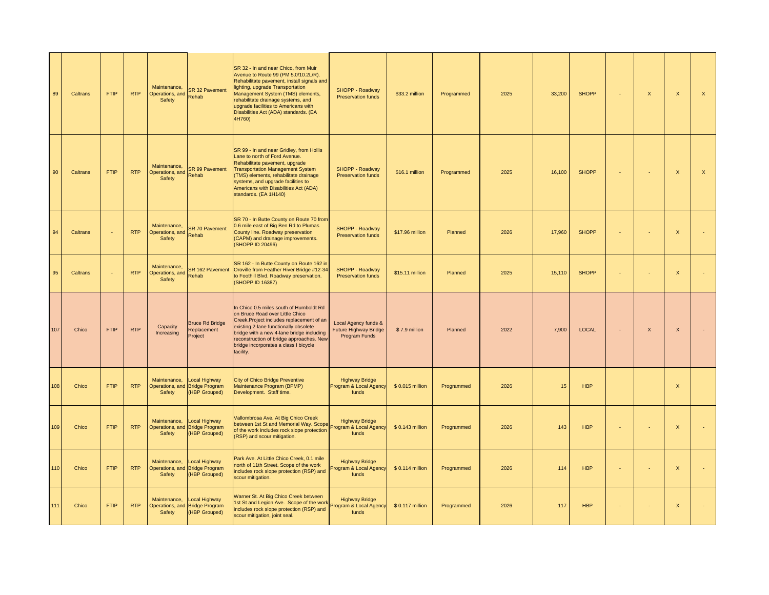| 89  | Caltrans | <b>FTIP</b> | <b>RTP</b> | Maintenance,<br>Operations, and<br>Safety | SR 32 Pavement<br>Rehab                                                 | SR 32 - In and near Chico, from Muir<br>Avenue to Route 99 (PM 5.0/10.2L/R).<br>Rehabilitate pavement, install signals and<br>lighting, upgrade Transportation<br>Management System (TMS) elements,<br>rehabilitate drainage systems, and<br>upgrade facilities to Americans with<br>Disabilities Act (ADA) standards. (EA<br>4H760) | SHOPP - Roadway<br><b>Preservation funds</b>                          | \$33.2 million   | Programmed | 2025 | 33,200 | <b>SHOPP</b> | $\mathsf{x}$ | $\mathsf{x}$ | $\mathsf{X}$              |
|-----|----------|-------------|------------|-------------------------------------------|-------------------------------------------------------------------------|--------------------------------------------------------------------------------------------------------------------------------------------------------------------------------------------------------------------------------------------------------------------------------------------------------------------------------------|-----------------------------------------------------------------------|------------------|------------|------|--------|--------------|--------------|--------------|---------------------------|
| 90  | Caltrans | <b>FTIP</b> | <b>RTP</b> | Maintenance,<br>Operations, and<br>Safety | SR 99 Pavement<br>Rehab                                                 | SR 99 - In and near Gridley, from Hollis<br>Lane to north of Ford Avenue.<br>Rehabilitate pavement, upgrade<br><b>Transportation Management System</b><br>(TMS) elements, rehabilitate drainage<br>systems, and upgrade facilities to<br>Americans with Disabilities Act (ADA)<br>standards. (EA 1H140)                              | SHOPP - Roadway<br><b>Preservation funds</b>                          | \$16.1 million   | Programmed | 2025 | 16,100 | <b>SHOPP</b> | $\sim$       | $\mathsf X$  | $\boldsymbol{\mathsf{X}}$ |
| 94  | Caltrans |             | <b>RTP</b> | Maintenance,<br>Operations, and<br>Safety | <b>SR 70 Pavement</b><br>Rehab                                          | SR 70 - In Butte County on Route 70 from<br>0.6 mile east of Big Ben Rd to Plumas<br>County line. Roadway preservation<br>(CAPM) and drainage improvements.<br>(SHOPP ID 20496)                                                                                                                                                      | SHOPP - Roadway<br><b>Preservation funds</b>                          | \$17.96 million  | Planned    | 2026 | 17,960 | <b>SHOPP</b> | ×.           | $\mathsf X$  |                           |
| 95  | Caltrans |             | <b>RTP</b> | Maintenance,<br>Operations, and<br>Safety | SR 162 Pavement<br>Rehab                                                | SR 162 - In Butte County on Route 162 in<br>Oroville from Feather River Bridge #12-34<br>to Foothill Blvd. Roadway preservation.<br>(SHOPP ID 16387)                                                                                                                                                                                 | SHOPP - Roadway<br><b>Preservation funds</b>                          | \$15.11 million  | Planned    | 2025 | 15,110 | <b>SHOPP</b> |              | $\mathsf X$  |                           |
| 107 | Chico    | <b>FTIP</b> | <b>RTP</b> | Capacity<br>Increasing                    | <b>Bruce Rd Bridge</b><br>Replacement<br>Project                        | In Chico 0.5 miles south of Humboldt Rd<br>on Bruce Road over Little Chico<br>Creek. Project includes replacement of an<br>existing 2-lane functionally obsolete<br>bridge with a new 4-lane bridge including<br>reconstruction of bridge approaches. New<br>bridge incorporates a class I bicycle<br>facility.                      | Local Agency funds &<br><b>Future Highway Bridge</b><br>Program Funds | \$7.9 million    | Planned    | 2022 | 7,900  | <b>LOCAL</b> | $\mathsf X$  | X            |                           |
| 108 | Chico    | <b>FTIP</b> | <b>RTP</b> | Maintenance,<br>Safety                    | Local Highway<br>Operations, and Bridge Program<br>(HBP Grouped)        | <b>City of Chico Bridge Preventive</b><br>Maintenance Program (BPMP)<br>Development. Staff time.                                                                                                                                                                                                                                     | <b>Highway Bridge</b><br>Program & Local Agency<br>funds              | \$0.015 million  | Programmed | 2026 | 15     | <b>HBP</b>   |              | $\mathsf X$  |                           |
| 109 | Chico    | <b>FTIP</b> | <b>RTP</b> | Maintenance.<br>Safety                    | <b>Local Highway</b><br>Operations, and Bridge Program<br>(HBP Grouped) | Vallombrosa Ave. At Big Chico Creek<br>between 1st St and Memorial Way. Scope<br>of the work includes rock slope protection<br>(RSP) and scour mitigation.                                                                                                                                                                           | <b>Highway Bridge</b><br>Program & Local Agency<br>funds              | \$0.143 million  | Programmed | 2026 | 143    | <b>HBP</b>   | $\sim$       | $\mathsf X$  |                           |
| 110 | Chico    | <b>FTIP</b> | <b>RTP</b> | Maintenance.<br>Safety                    | Local Highway<br>Operations, and Bridge Program<br>(HBP Grouped)        | Park Ave. At Little Chico Creek, 0.1 mile<br>north of 11th Street. Scope of the work<br>includes rock slope protection (RSP) and<br>scour mitigation.                                                                                                                                                                                | <b>Highway Bridge</b><br><b>Program &amp; Local Agency</b><br>funds   | \$0.114 million  | Programmed | 2026 | 114    | <b>HBP</b>   | $\sim$       | $\mathsf{x}$ |                           |
| 111 | Chico    | <b>FTIP</b> | <b>RTP</b> | Maintenance,<br>Safety                    | Local Highway<br>Operations, and Bridge Program<br>(HBP Grouped)        | Warner St. At Big Chico Creek between<br>1st St and Legion Ave. Scope of the work<br>includes rock slope protection (RSP) and<br>scour mitigation, joint seal.                                                                                                                                                                       | <b>Highway Bridge</b><br>Program & Local Agency<br>funds              | \$ 0.117 million | Programmed | 2026 | 117    | <b>HBP</b>   | ×.           | $\mathsf{x}$ |                           |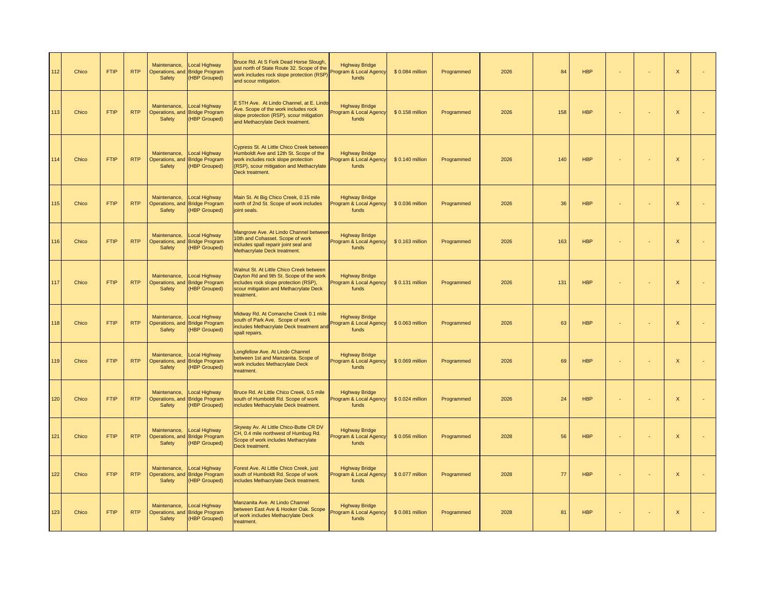| 112 | Chico | <b>FTIP</b> | <b>RTP</b> | Maintenance,<br>Safety                    | Local Highway<br>Operations, and Bridge Program<br><b>HBP Grouped)</b>        | Bruce Rd. At S Fork Dead Horse Slough.<br>just north of State Route 32. Scope of the<br>work includes rock slope protection (RSP)<br>and scour mitigation.                                | <b>Highway Bridge</b><br>Program & Local Agency<br>funds | \$0.084 million  | Programmed | 2026 | 84  | <b>HBP</b> |    | ×.             | X            |    |
|-----|-------|-------------|------------|-------------------------------------------|-------------------------------------------------------------------------------|-------------------------------------------------------------------------------------------------------------------------------------------------------------------------------------------|----------------------------------------------------------|------------------|------------|------|-----|------------|----|----------------|--------------|----|
| 113 | Chico | <b>FTIP</b> | <b>RTP</b> | Maintenance,<br>Safety                    | <b>Local Highway</b><br>Operations, and Bridge Program<br><b>HBP Grouped)</b> | E 5TH Ave. At Lindo Channel, at E. Lindo<br>Ave. Scope of the work includes rock<br>slope protection (RSP), scour mitigation<br>and Methacrylate Deck treatment.                          | <b>Highway Bridge</b><br>rogram & Local Agency<br>funds  | \$0.158 million  | Programmed | 2026 | 158 | <b>HBP</b> | ÷  | ÷.             | $\mathsf{x}$ | ä, |
| 114 | Chico | <b>FTIP</b> | <b>RTP</b> | Maintenance,<br>Safety                    | <b>Local Highway</b><br>Operations, and Bridge Program<br><b>HBP Grouped)</b> | Cypress St. At Little Chico Creek between<br>Humboldt Ave and 12th St. Scope of the<br>work includes rock slope protection<br>(RSP), scour mitigation and Methacrylate<br>Deck treatment. | <b>Highway Bridge</b><br>rogram & Local Agenc<br>funds   | \$ 0.140 million | Programmed | 2026 | 140 | <b>HBP</b> |    | ×,             | $\mathsf{X}$ |    |
| 115 | Chico | <b>FTIP</b> | <b>RTP</b> | Maintenance,<br>Safety                    | Local Highway<br>Operations, and Bridge Program<br>(HBP Grouped)              | Main St. At Big Chico Creek, 0.15 mile<br>north of 2nd St. Scope of work includes<br>joint seals.                                                                                         | <b>Highway Bridge</b><br>rogram & Local Agency<br>funds  | \$0.036 million  | Programmed | 2026 | 36  | <b>HBP</b> |    | ÷,             | $\mathsf X$  |    |
| 116 | Chico | <b>FTIP</b> | <b>RTP</b> | Maintenance,<br>Safety                    | <b>Local Highway</b><br>Operations, and Bridge Program<br>(HBP Grouped)       | Mangrove Ave. At Lindo Channel betweer<br>10th and Cohasset. Scope of work<br>includes spall reparir joint seal and<br>Methacrylate Deck treatment.                                       | <b>Highway Bridge</b><br>Program & Local Agency<br>funds | \$ 0.163 million | Programmed | 2026 | 163 | <b>HBP</b> | ÷  | ÷.             | $\mathsf{x}$ |    |
| 117 | Chico | <b>FTIP</b> | <b>RTP</b> | Maintenance,<br>Safety                    | <b>Local Highway</b><br>Operations, and Bridge Program<br><b>HBP Grouped)</b> | Walnut St. At Little Chico Creek between<br>Dayton Rd and 9th St. Scope of the work<br>includes rock slope protection (RSP),<br>scour mitigation and Methacrylate Deck<br>treatment.      | <b>Highway Bridge</b><br>rogram & Local Agency<br>funds  | \$ 0.131 million | Programmed | 2026 | 131 | <b>HBP</b> | ÷  | ÷              | $\mathsf{X}$ |    |
| 118 | Chico | <b>FTIP</b> | <b>RTP</b> | Maintenance.<br>Operations, and<br>Safety | Local Highway<br><b>Bridge Program</b><br>(HBP Grouped)                       | Midway Rd. At Comanche Creek 0.1 mile<br>south of Park Ave. Scope of work<br>ncludes Methacrylate Deck treatment and<br>spall repairs.                                                    | <b>Highway Bridge</b><br>Program & Local Agency<br>funds | \$0.063 million  | Programmed | 2026 | 63  | <b>HBP</b> |    | ÷,             | $\mathsf X$  |    |
| 119 | Chico | <b>FTIP</b> | <b>RTP</b> | Maintenance,<br>Safety                    | <b>Local Highway</b><br>Operations, and Bridge Program<br>(HBP Grouped)       | Longfellow Ave. At Lindo Channel<br>between 1st and Manzanita. Scope of<br>work includes Methacrylate Deck<br>treatment.                                                                  | <b>Highway Bridge</b><br>rogram & Local Agenc<br>funds   | \$0.069 million  | Programmed | 2026 | 69  | <b>HBP</b> |    | $\blacksquare$ | $\mathsf X$  | ÷  |
| 120 | Chico | <b>FTIP</b> | <b>RTP</b> | Maintenance,<br>Operations, and<br>Safety | <b>Local Highway</b><br><b>Bridge Program</b><br><b>HBP Grouped)</b>          | Bruce Rd. At Little Chico Creek, 0.5 mile<br>south of Humboldt Rd. Scope of work<br>includes Methacrylate Deck treatment.                                                                 | <b>Highway Bridge</b><br>rogram & Local Agenc<br>funds   | \$0.024 million  | Programmed | 2026 | 24  | <b>HBP</b> | ×, | ÷,             | $\mathsf X$  | ÷  |
| 121 | Chico | <b>FTIP</b> | <b>RTP</b> | Maintenance,<br>Safety                    | <b>Local Highway</b><br>Operations, and Bridge Program<br>(HBP Grouped)       | Skyway Av. At Little Chico-Butte CR DV<br>CH, 0.4 mile northwest of Humbug Rd.<br>Scope of work includes Methacrylate<br>Deck treatment.                                                  | <b>Highway Bridge</b><br>rogram & Local Agency<br>funds  | \$0.056 million  | Programmed | 2028 | 56  | <b>HBP</b> |    | ÷,             | $\mathsf X$  |    |
| 122 | Chico | <b>FTIP</b> | <b>RTP</b> | Maintenance,<br>Safety                    | Local Highway<br>Operations, and Bridge Program<br><b>HBP Grouped)</b>        | Forest Ave. At Little Chico Creek, just<br>south of Humboldt Rd. Scope of work<br>includes Methacrylate Deck treatment.                                                                   | <b>Highway Bridge</b><br>Program & Local Agency<br>funds | \$0.077 million  | Programmed | 2028 | 77  | <b>HBP</b> | ÷  | ×,             | $\mathsf X$  |    |
| 123 | Chico | <b>FTIP</b> | <b>RTP</b> | Maintenance.<br>Safety                    | <b>Local Highway</b><br>Operations, and Bridge Program<br>(HBP Grouped)       | Manzanita Ave. At Lindo Channel<br>between East Ave & Hooker Oak. Scope<br>of work includes Methacrylate Deck<br>treatment.                                                               | <b>Highway Bridge</b><br>rogram & Local Agency<br>funds  | \$0.081 million  | Programmed | 2028 | 81  | <b>HBP</b> | ÷. | ÷              | $\mathsf X$  | ä, |